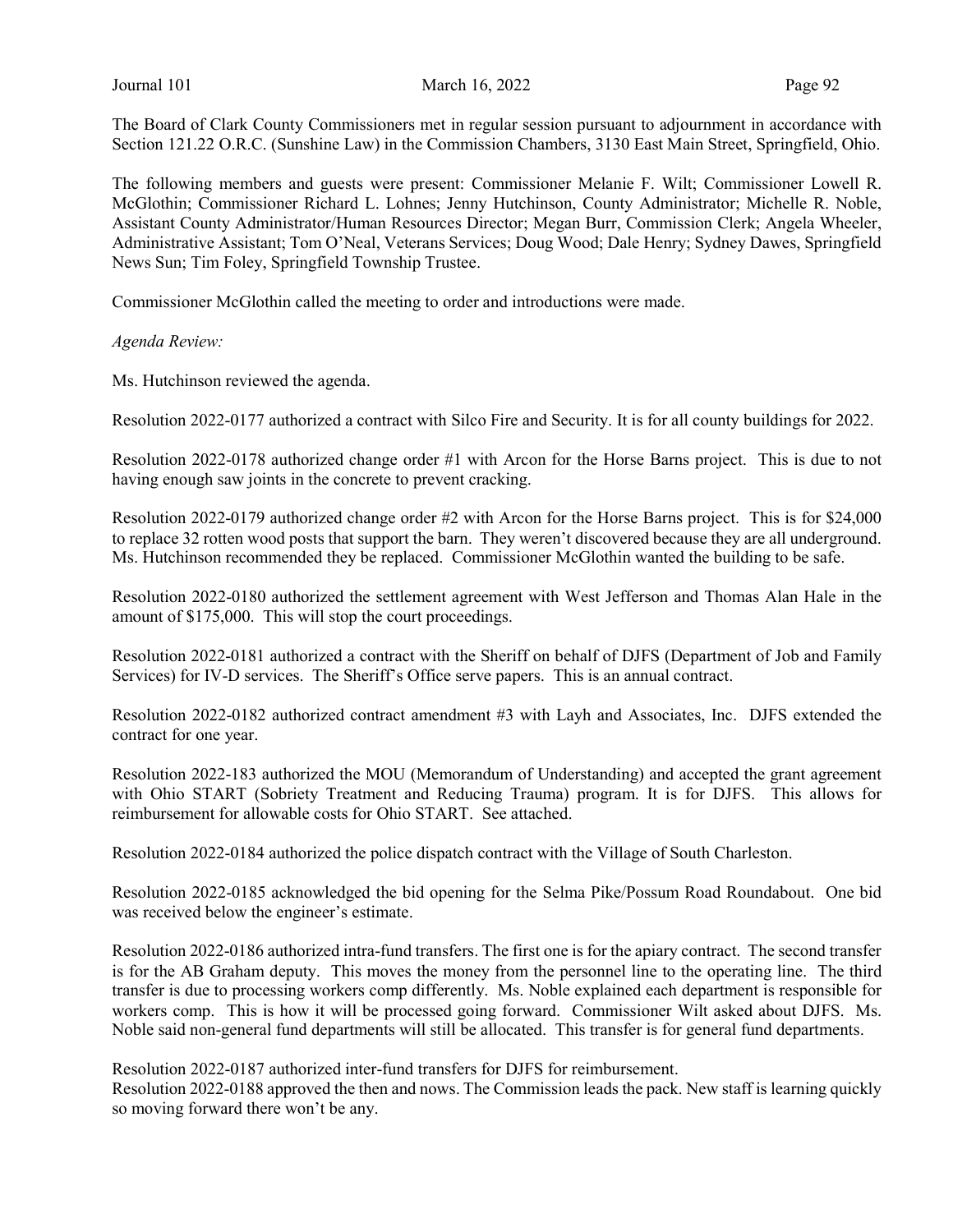The Board of Clark County Commissioners met in regular session pursuant to adjournment in accordance with Section 121.22 O.R.C. (Sunshine Law) in the Commission Chambers, 3130 East Main Street, Springfield, Ohio.

The following members and guests were present: Commissioner Melanie F. Wilt; Commissioner Lowell R. McGlothin; Commissioner Richard L. Lohnes; Jenny Hutchinson, County Administrator; Michelle R. Noble, Assistant County Administrator/Human Resources Director; Megan Burr, Commission Clerk; Angela Wheeler, Administrative Assistant; Tom O'Neal, Veterans Services; Doug Wood; Dale Henry; Sydney Dawes, Springfield News Sun; Tim Foley, Springfield Township Trustee.

Commissioner McGlothin called the meeting to order and introductions were made.

Agenda Review:

Ms. Hutchinson reviewed the agenda.

Resolution 2022-0177 authorized a contract with Silco Fire and Security. It is for all county buildings for 2022.

Resolution 2022-0178 authorized change order #1 with Arcon for the Horse Barns project. This is due to not having enough saw joints in the concrete to prevent cracking.

Resolution 2022-0179 authorized change order #2 with Arcon for the Horse Barns project. This is for \$24,000 to replace 32 rotten wood posts that support the barn. They weren't discovered because they are all underground. Ms. Hutchinson recommended they be replaced. Commissioner McGlothin wanted the building to be safe.

Resolution 2022-0180 authorized the settlement agreement with West Jefferson and Thomas Alan Hale in the amount of \$175,000. This will stop the court proceedings.

Resolution 2022-0181 authorized a contract with the Sheriff on behalf of DJFS (Department of Job and Family Services) for IV-D services. The Sheriff's Office serve papers. This is an annual contract.

Resolution 2022-0182 authorized contract amendment #3 with Layh and Associates, Inc. DJFS extended the contract for one year.

Resolution 2022-183 authorized the MOU (Memorandum of Understanding) and accepted the grant agreement with Ohio START (Sobriety Treatment and Reducing Trauma) program. It is for DJFS. This allows for reimbursement for allowable costs for Ohio START. See attached.

Resolution 2022-0184 authorized the police dispatch contract with the Village of South Charleston.

Resolution 2022-0185 acknowledged the bid opening for the Selma Pike/Possum Road Roundabout. One bid was received below the engineer's estimate.

Resolution 2022-0186 authorized intra-fund transfers. The first one is for the apiary contract. The second transfer is for the AB Graham deputy. This moves the money from the personnel line to the operating line. The third transfer is due to processing workers comp differently. Ms. Noble explained each department is responsible for workers comp. This is how it will be processed going forward. Commissioner Wilt asked about DJFS. Ms. Noble said non-general fund departments will still be allocated. This transfer is for general fund departments.

Resolution 2022-0187 authorized inter-fund transfers for DJFS for reimbursement.

Resolution 2022-0188 approved the then and nows. The Commission leads the pack. New staff is learning quickly so moving forward there won't be any.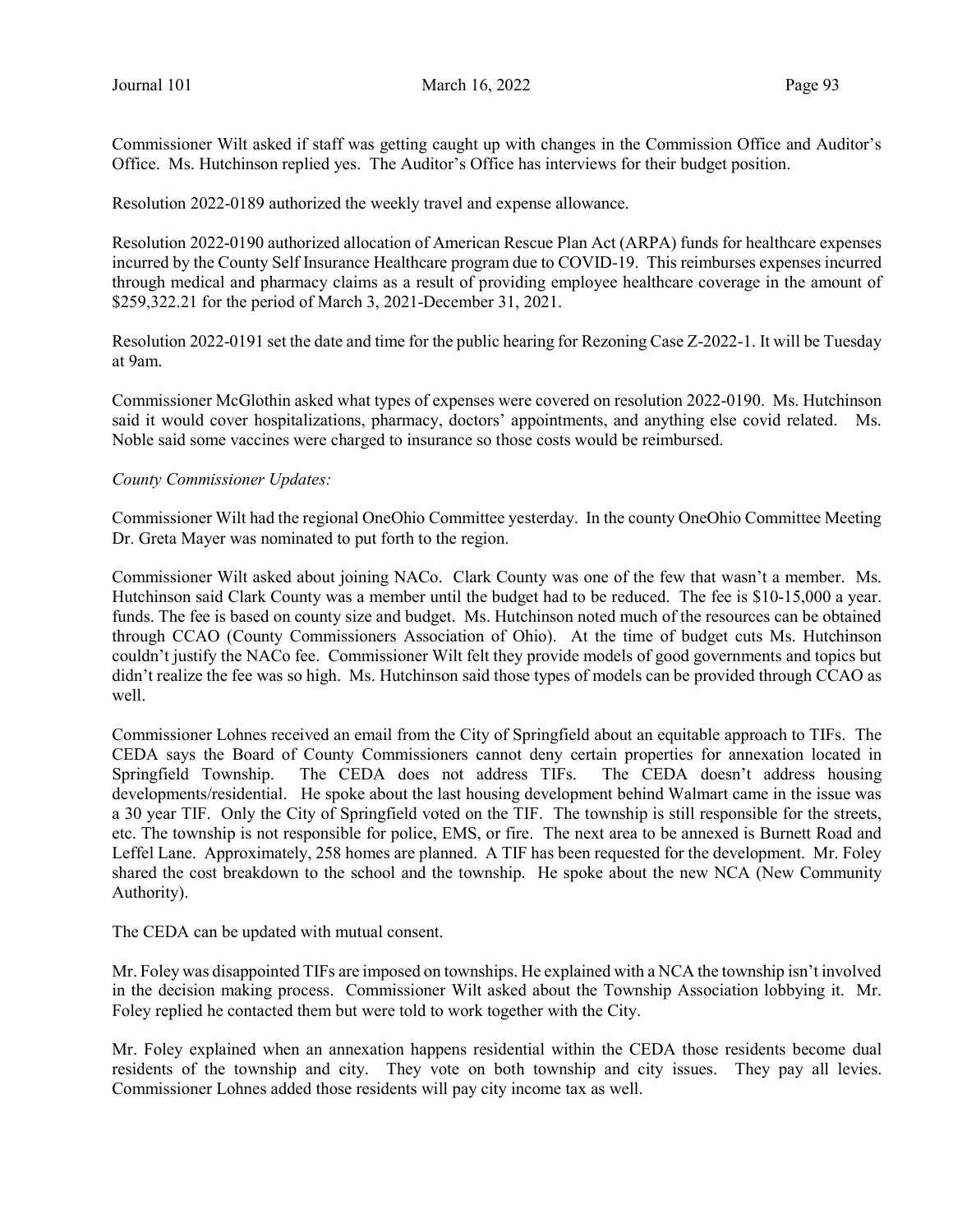Commissioner Wilt asked if staff was getting caught up with changes in the Commission Office and Auditor's Office. Ms. Hutchinson replied yes. The Auditor's Office has interviews for their budget position.

Resolution 2022-0189 authorized the weekly travel and expense allowance.

Resolution 2022-0190 authorized allocation of American Rescue Plan Act (ARPA) funds for healthcare expenses incurred by the County Self Insurance Healthcare program due to COVID-19. This reimburses expenses incurred through medical and pharmacy claims as a result of providing employee healthcare coverage in the amount of \$259,322.21 for the period of March 3, 2021-December 31, 2021.

Resolution 2022-0191 set the date and time for the public hearing for Rezoning Case Z-2022-1. It will be Tuesday at 9am.

Commissioner McGlothin asked what types of expenses were covered on resolution 2022-0190. Ms. Hutchinson said it would cover hospitalizations, pharmacy, doctors' appointments, and anything else covid related. Ms. Noble said some vaccines were charged to insurance so those costs would be reimbursed.

#### County Commissioner Updates:

Commissioner Wilt had the regional OneOhio Committee yesterday. In the county OneOhio Committee Meeting Dr. Greta Mayer was nominated to put forth to the region.

Commissioner Wilt asked about joining NACo. Clark County was one of the few that wasn't a member. Ms. Hutchinson said Clark County was a member until the budget had to be reduced. The fee is \$10-15,000 a year. funds. The fee is based on county size and budget. Ms. Hutchinson noted much of the resources can be obtained through CCAO (County Commissioners Association of Ohio). At the time of budget cuts Ms. Hutchinson couldn't justify the NACo fee. Commissioner Wilt felt they provide models of good governments and topics but didn't realize the fee was so high. Ms. Hutchinson said those types of models can be provided through CCAO as well.

Commissioner Lohnes received an email from the City of Springfield about an equitable approach to TIFs. The CEDA says the Board of County Commissioners cannot deny certain properties for annexation located in Springfield Township. The CEDA does not address TIFs. The CEDA doesn't address housing developments/residential. He spoke about the last housing development behind Walmart came in the issue was a 30 year TIF. Only the City of Springfield voted on the TIF. The township is still responsible for the streets, etc. The township is not responsible for police, EMS, or fire. The next area to be annexed is Burnett Road and Leffel Lane. Approximately, 258 homes are planned. A TIF has been requested for the development. Mr. Foley shared the cost breakdown to the school and the township. He spoke about the new NCA (New Community Authority).

The CEDA can be updated with mutual consent.

Mr. Foley was disappointed TIFs are imposed on townships. He explained with a NCA the township isn't involved in the decision making process. Commissioner Wilt asked about the Township Association lobbying it. Mr. Foley replied he contacted them but were told to work together with the City.

Mr. Foley explained when an annexation happens residential within the CEDA those residents become dual residents of the township and city. They vote on both township and city issues. They pay all levies. Commissioner Lohnes added those residents will pay city income tax as well.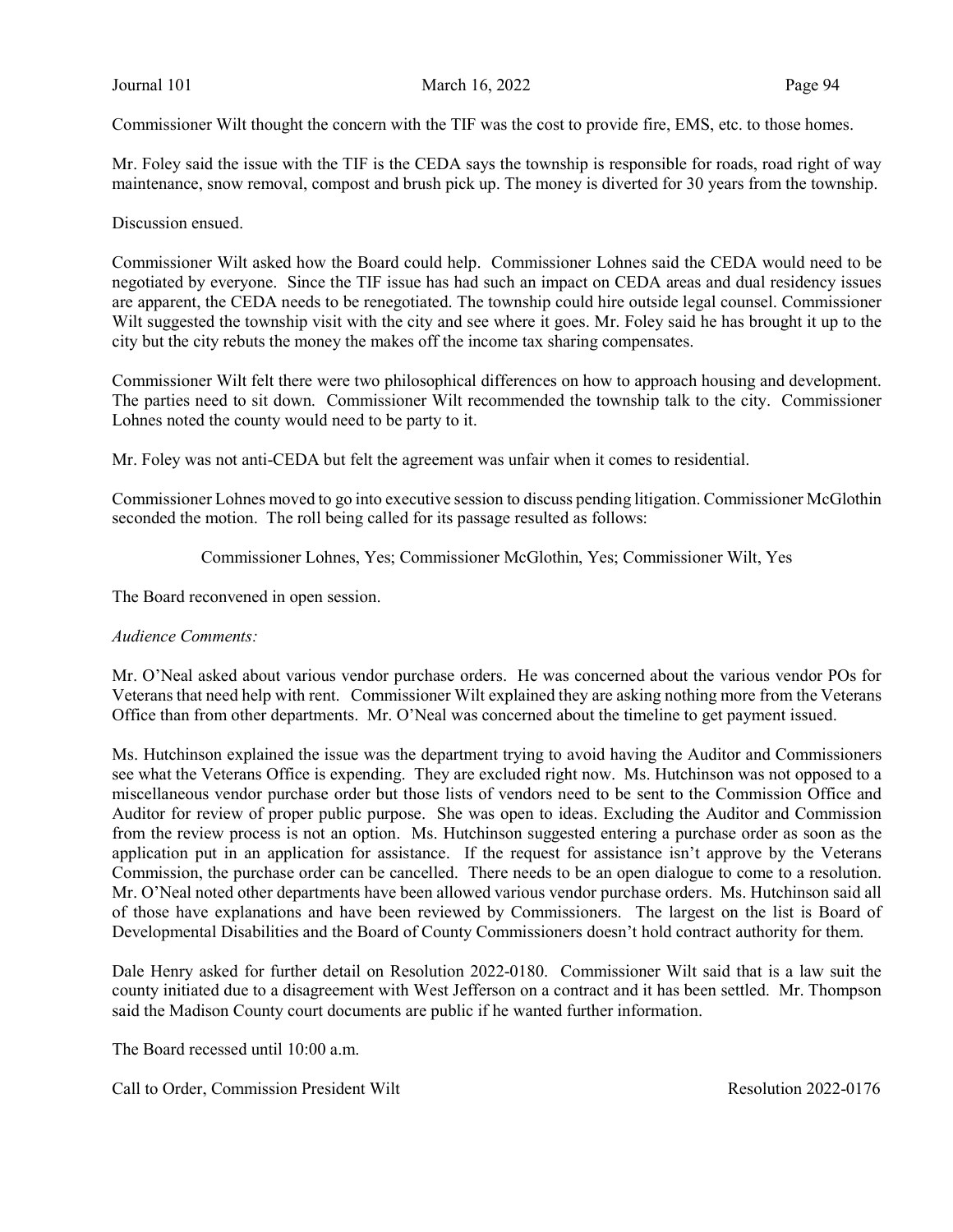Commissioner Wilt thought the concern with the TIF was the cost to provide fire, EMS, etc. to those homes.

Mr. Foley said the issue with the TIF is the CEDA says the township is responsible for roads, road right of way maintenance, snow removal, compost and brush pick up. The money is diverted for 30 years from the township.

Discussion ensued.

Commissioner Wilt asked how the Board could help. Commissioner Lohnes said the CEDA would need to be negotiated by everyone. Since the TIF issue has had such an impact on CEDA areas and dual residency issues are apparent, the CEDA needs to be renegotiated. The township could hire outside legal counsel. Commissioner Wilt suggested the township visit with the city and see where it goes. Mr. Foley said he has brought it up to the city but the city rebuts the money the makes off the income tax sharing compensates.

Commissioner Wilt felt there were two philosophical differences on how to approach housing and development. The parties need to sit down. Commissioner Wilt recommended the township talk to the city. Commissioner Lohnes noted the county would need to be party to it.

Mr. Foley was not anti-CEDA but felt the agreement was unfair when it comes to residential.

Commissioner Lohnes moved to go into executive session to discuss pending litigation. Commissioner McGlothin seconded the motion. The roll being called for its passage resulted as follows:

Commissioner Lohnes, Yes; Commissioner McGlothin, Yes; Commissioner Wilt, Yes

The Board reconvened in open session.

#### Audience Comments:

Mr. O'Neal asked about various vendor purchase orders. He was concerned about the various vendor POs for Veterans that need help with rent. Commissioner Wilt explained they are asking nothing more from the Veterans Office than from other departments. Mr. O'Neal was concerned about the timeline to get payment issued.

Ms. Hutchinson explained the issue was the department trying to avoid having the Auditor and Commissioners see what the Veterans Office is expending. They are excluded right now. Ms. Hutchinson was not opposed to a miscellaneous vendor purchase order but those lists of vendors need to be sent to the Commission Office and Auditor for review of proper public purpose. She was open to ideas. Excluding the Auditor and Commission from the review process is not an option. Ms. Hutchinson suggested entering a purchase order as soon as the application put in an application for assistance. If the request for assistance isn't approve by the Veterans Commission, the purchase order can be cancelled. There needs to be an open dialogue to come to a resolution. Mr. O'Neal noted other departments have been allowed various vendor purchase orders. Ms. Hutchinson said all of those have explanations and have been reviewed by Commissioners. The largest on the list is Board of Developmental Disabilities and the Board of County Commissioners doesn't hold contract authority for them.

Dale Henry asked for further detail on Resolution 2022-0180. Commissioner Wilt said that is a law suit the county initiated due to a disagreement with West Jefferson on a contract and it has been settled. Mr. Thompson said the Madison County court documents are public if he wanted further information.

The Board recessed until 10:00 a.m.

Call to Order, Commission President Wilt **Resolution 2022-0176** Resolution 2022-0176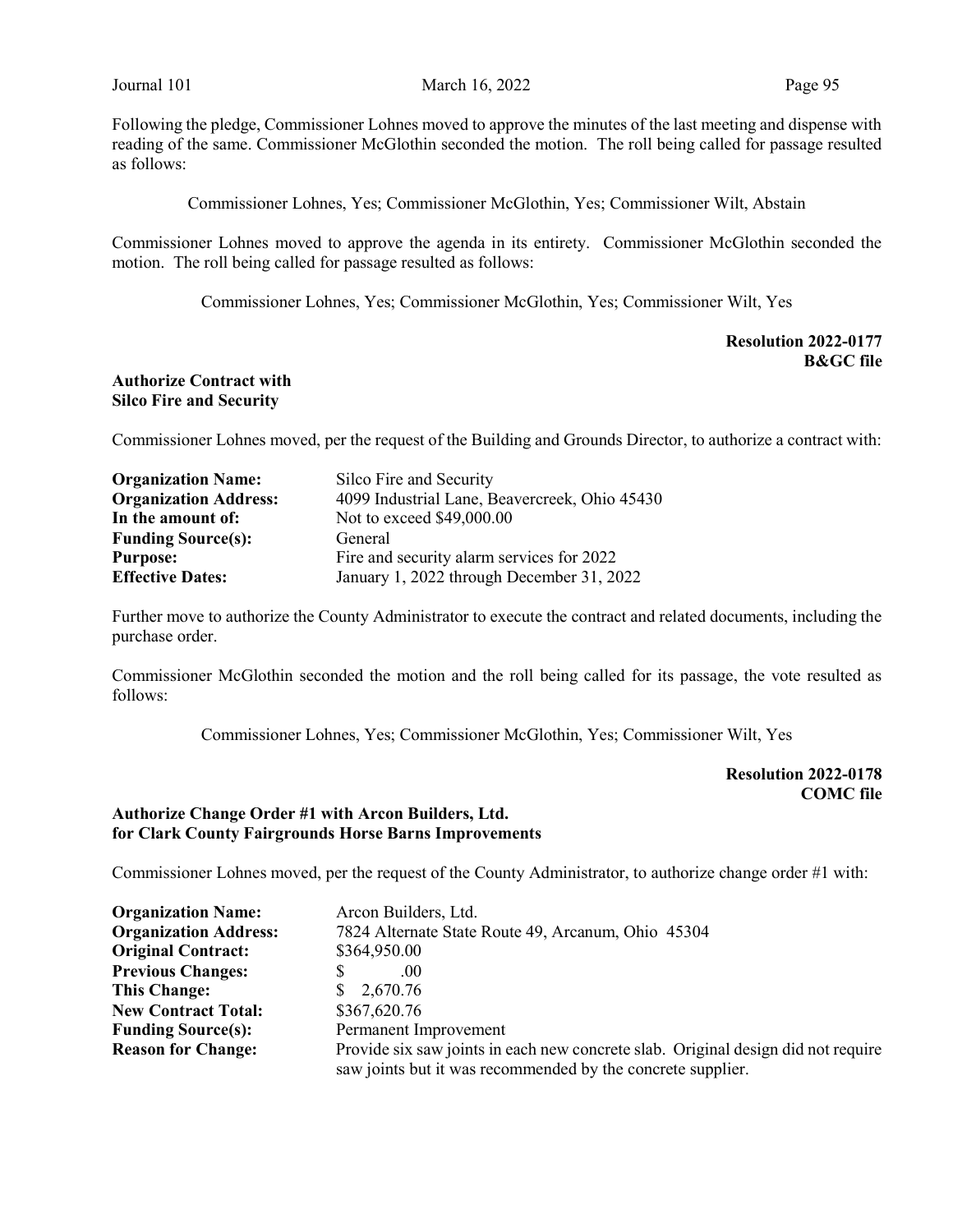Following the pledge, Commissioner Lohnes moved to approve the minutes of the last meeting and dispense with reading of the same. Commissioner McGlothin seconded the motion. The roll being called for passage resulted as follows:

Commissioner Lohnes, Yes; Commissioner McGlothin, Yes; Commissioner Wilt, Abstain

Commissioner Lohnes moved to approve the agenda in its entirety. Commissioner McGlothin seconded the motion. The roll being called for passage resulted as follows:

Commissioner Lohnes, Yes; Commissioner McGlothin, Yes; Commissioner Wilt, Yes

Resolution 2022-0177 B&GC file

#### Authorize Contract with Silco Fire and Security

Commissioner Lohnes moved, per the request of the Building and Grounds Director, to authorize a contract with:

| <b>Organization Name:</b>    | Silco Fire and Security                       |
|------------------------------|-----------------------------------------------|
| <b>Organization Address:</b> | 4099 Industrial Lane, Beavercreek, Ohio 45430 |
| In the amount of:            | Not to exceed \$49,000.00                     |
| <b>Funding Source(s):</b>    | General                                       |
| <b>Purpose:</b>              | Fire and security alarm services for 2022     |
| <b>Effective Dates:</b>      | January 1, 2022 through December 31, 2022     |

Further move to authorize the County Administrator to execute the contract and related documents, including the purchase order.

Commissioner McGlothin seconded the motion and the roll being called for its passage, the vote resulted as follows:

Commissioner Lohnes, Yes; Commissioner McGlothin, Yes; Commissioner Wilt, Yes

# Resolution 2022-0178 COMC file

# Authorize Change Order #1 with Arcon Builders, Ltd. for Clark County Fairgrounds Horse Barns Improvements

Commissioner Lohnes moved, per the request of the County Administrator, to authorize change order #1 with:

| <b>Organization Name:</b>    | Arcon Builders, Ltd.                                                              |
|------------------------------|-----------------------------------------------------------------------------------|
| <b>Organization Address:</b> | 7824 Alternate State Route 49, Arcanum, Ohio 45304                                |
| <b>Original Contract:</b>    | \$364,950.00                                                                      |
| <b>Previous Changes:</b>     | .00                                                                               |
| <b>This Change:</b>          | 2,670.76<br>SS.                                                                   |
| <b>New Contract Total:</b>   | \$367,620.76                                                                      |
| <b>Funding Source(s):</b>    | Permanent Improvement                                                             |
| <b>Reason for Change:</b>    | Provide six saw joints in each new concrete slab. Original design did not require |
|                              | saw joints but it was recommended by the concrete supplier.                       |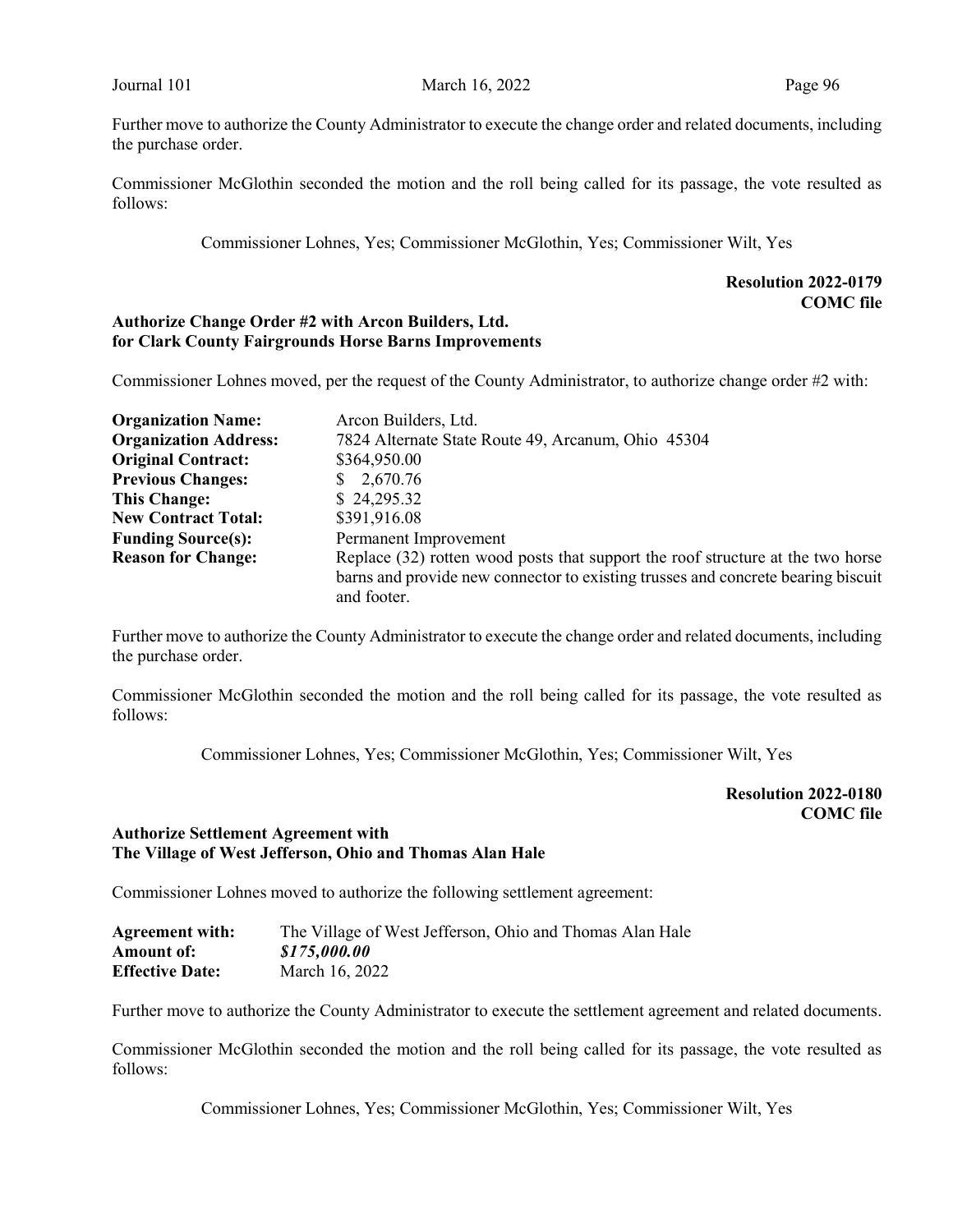Further move to authorize the County Administrator to execute the change order and related documents, including the purchase order.

Commissioner McGlothin seconded the motion and the roll being called for its passage, the vote resulted as follows:

Commissioner Lohnes, Yes; Commissioner McGlothin, Yes; Commissioner Wilt, Yes

# Resolution 2022-0179 COMC file

### Authorize Change Order #2 with Arcon Builders, Ltd. for Clark County Fairgrounds Horse Barns Improvements

Commissioner Lohnes moved, per the request of the County Administrator, to authorize change order #2 with:

| <b>Organization Name:</b>    | Arcon Builders, Ltd.                                                             |
|------------------------------|----------------------------------------------------------------------------------|
| <b>Organization Address:</b> | 7824 Alternate State Route 49, Arcanum, Ohio 45304                               |
| <b>Original Contract:</b>    | \$364,950.00                                                                     |
| <b>Previous Changes:</b>     | \$2,670.76                                                                       |
| <b>This Change:</b>          | \$24,295.32                                                                      |
| <b>New Contract Total:</b>   | \$391,916.08                                                                     |
| <b>Funding Source(s):</b>    | Permanent Improvement                                                            |
| <b>Reason for Change:</b>    | Replace (32) rotten wood posts that support the roof structure at the two horse  |
|                              | barns and provide new connector to existing trusses and concrete bearing biscuit |
|                              | and footer.                                                                      |

Further move to authorize the County Administrator to execute the change order and related documents, including the purchase order.

Commissioner McGlothin seconded the motion and the roll being called for its passage, the vote resulted as follows:

Commissioner Lohnes, Yes; Commissioner McGlothin, Yes; Commissioner Wilt, Yes

Resolution 2022-0180 COMC file

# Authorize Settlement Agreement with The Village of West Jefferson, Ohio and Thomas Alan Hale

Commissioner Lohnes moved to authorize the following settlement agreement:

| <b>Agreement with:</b> | The Village of West Jefferson, Ohio and Thomas Alan Hale |
|------------------------|----------------------------------------------------------|
| Amount of:             | \$175,000.00                                             |
| <b>Effective Date:</b> | March 16, 2022                                           |

Further move to authorize the County Administrator to execute the settlement agreement and related documents.

Commissioner McGlothin seconded the motion and the roll being called for its passage, the vote resulted as follows:

Commissioner Lohnes, Yes; Commissioner McGlothin, Yes; Commissioner Wilt, Yes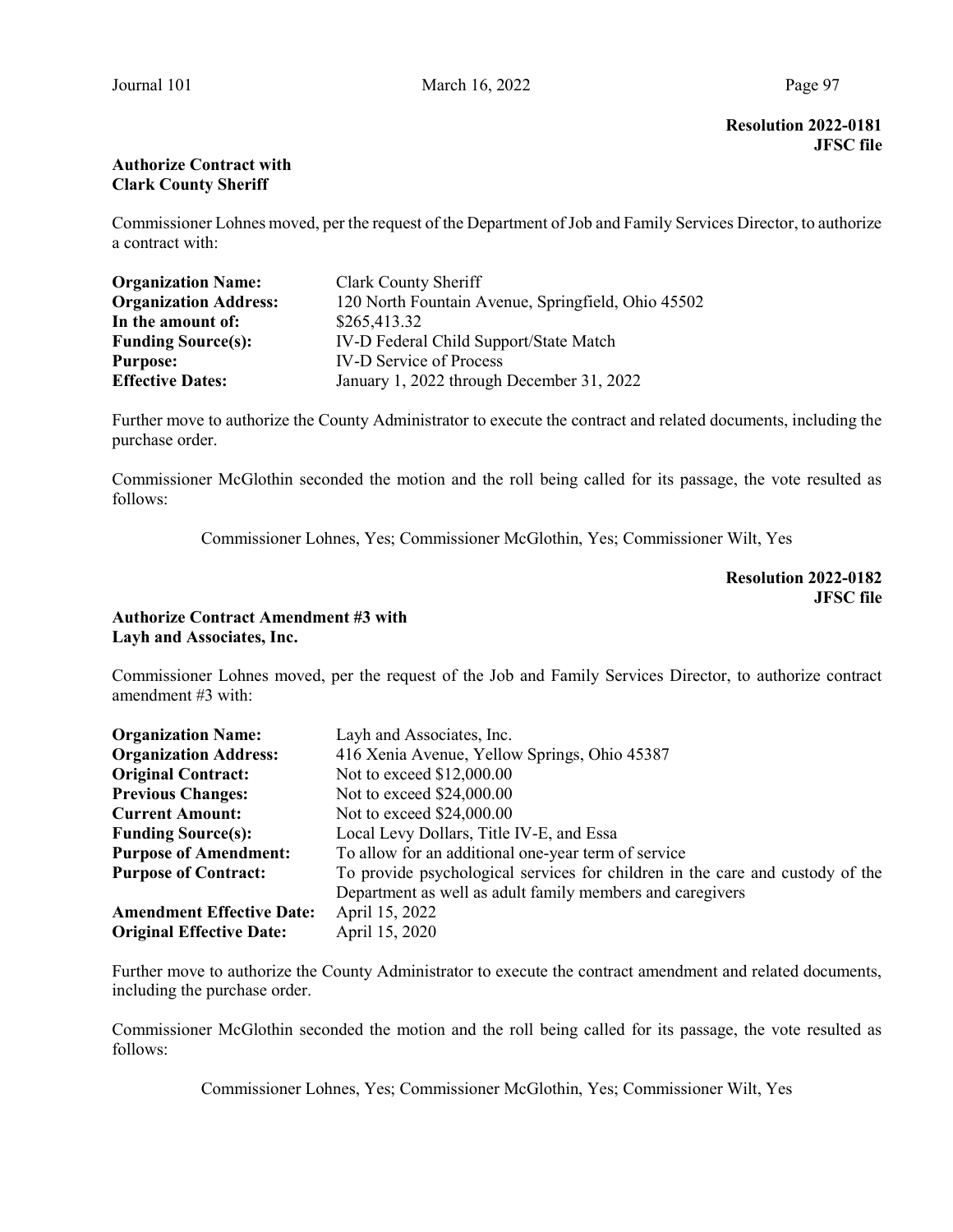Resolution 2022-0181 JFSC file

# Authorize Contract with Clark County Sheriff

Commissioner Lohnes moved, per the request of the Department of Job and Family Services Director, to authorize a contract with:

| <b>Organization Name:</b>    | Clark County Sheriff                               |
|------------------------------|----------------------------------------------------|
| <b>Organization Address:</b> | 120 North Fountain Avenue, Springfield, Ohio 45502 |
| In the amount of:            | \$265,413.32                                       |
| <b>Funding Source(s):</b>    | IV-D Federal Child Support/State Match             |
| <b>Purpose:</b>              | <b>IV-D Service of Process</b>                     |
| <b>Effective Dates:</b>      | January 1, 2022 through December 31, 2022          |

Further move to authorize the County Administrator to execute the contract and related documents, including the purchase order.

Commissioner McGlothin seconded the motion and the roll being called for its passage, the vote resulted as follows:

Commissioner Lohnes, Yes; Commissioner McGlothin, Yes; Commissioner Wilt, Yes

Resolution 2022-0182 JFSC file

# Authorize Contract Amendment #3 with Layh and Associates, Inc.

Commissioner Lohnes moved, per the request of the Job and Family Services Director, to authorize contract amendment #3 with:

| <b>Organization Name:</b>        | Layh and Associates, Inc.                                                     |
|----------------------------------|-------------------------------------------------------------------------------|
| <b>Organization Address:</b>     | 416 Xenia Avenue, Yellow Springs, Ohio 45387                                  |
| <b>Original Contract:</b>        | Not to exceed \$12,000.00                                                     |
| <b>Previous Changes:</b>         | Not to exceed \$24,000.00                                                     |
| <b>Current Amount:</b>           | Not to exceed \$24,000.00                                                     |
| <b>Funding Source(s):</b>        | Local Levy Dollars, Title IV-E, and Essa                                      |
| <b>Purpose of Amendment:</b>     | To allow for an additional one-year term of service                           |
| <b>Purpose of Contract:</b>      | To provide psychological services for children in the care and custody of the |
|                                  | Department as well as adult family members and caregivers                     |
| <b>Amendment Effective Date:</b> | April 15, 2022                                                                |
| <b>Original Effective Date:</b>  | April 15, 2020                                                                |

Further move to authorize the County Administrator to execute the contract amendment and related documents, including the purchase order.

Commissioner McGlothin seconded the motion and the roll being called for its passage, the vote resulted as follows:

Commissioner Lohnes, Yes; Commissioner McGlothin, Yes; Commissioner Wilt, Yes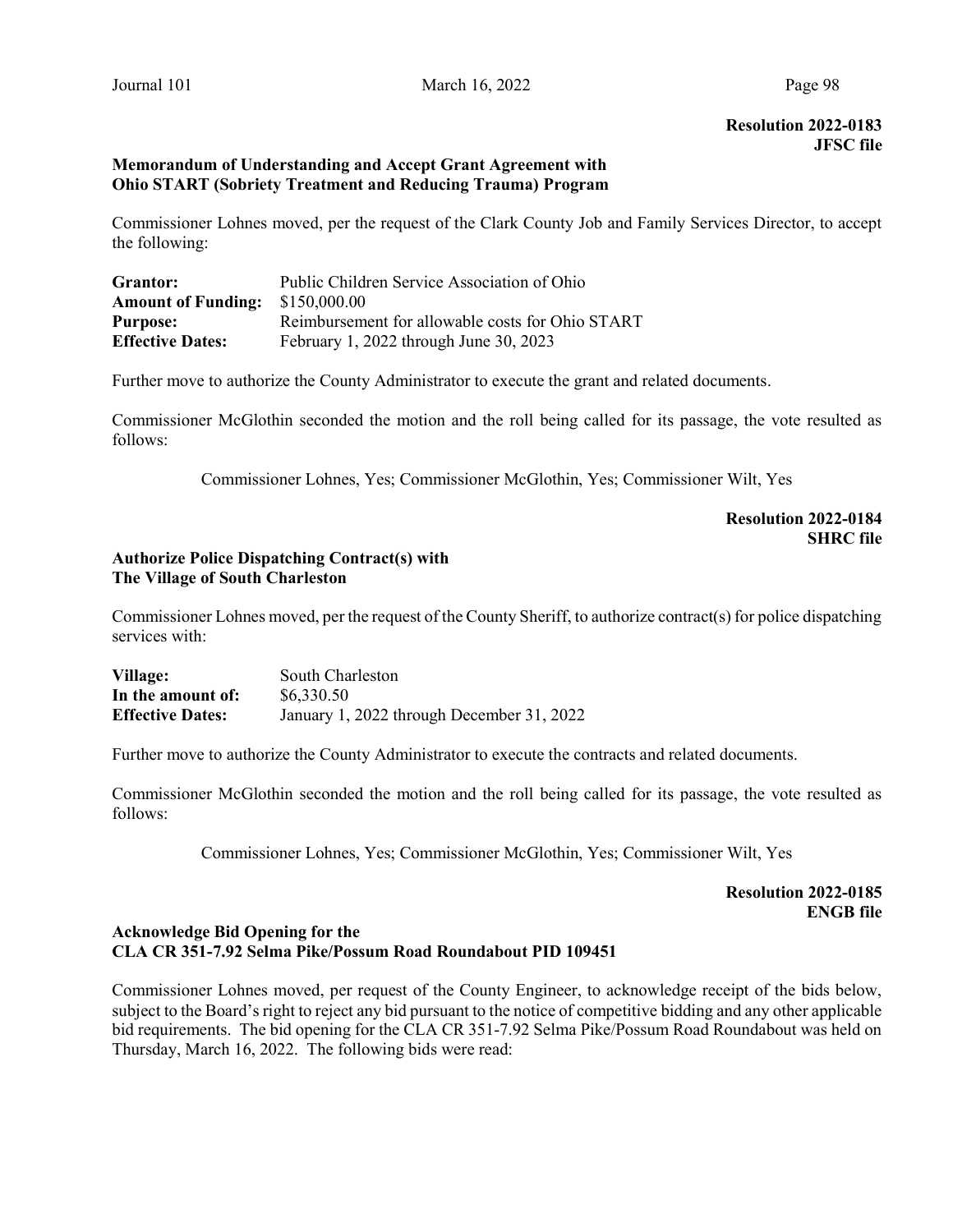# Resolution 2022-0183 JFSC file

## Memorandum of Understanding and Accept Grant Agreement with Ohio START (Sobriety Treatment and Reducing Trauma) Program

Commissioner Lohnes moved, per the request of the Clark County Job and Family Services Director, to accept the following:

| <b>Grantor:</b>           | Public Children Service Association of Ohio      |
|---------------------------|--------------------------------------------------|
| <b>Amount of Funding:</b> | \$150,000.00                                     |
| <b>Purpose:</b>           | Reimbursement for allowable costs for Ohio START |
| <b>Effective Dates:</b>   | February 1, 2022 through June 30, 2023           |

Further move to authorize the County Administrator to execute the grant and related documents.

Commissioner McGlothin seconded the motion and the roll being called for its passage, the vote resulted as follows:

Commissioner Lohnes, Yes; Commissioner McGlothin, Yes; Commissioner Wilt, Yes

# Resolution 2022-0184 SHRC file

## Authorize Police Dispatching Contract(s) with The Village of South Charleston

Commissioner Lohnes moved, per the request of the County Sheriff, to authorize contract(s) for police dispatching services with:

| Village:                | South Charleston                          |
|-------------------------|-------------------------------------------|
| In the amount of:       | \$6,330.50                                |
| <b>Effective Dates:</b> | January 1, 2022 through December 31, 2022 |

Further move to authorize the County Administrator to execute the contracts and related documents.

Commissioner McGlothin seconded the motion and the roll being called for its passage, the vote resulted as follows:

Commissioner Lohnes, Yes; Commissioner McGlothin, Yes; Commissioner Wilt, Yes

Resolution 2022-0185 ENGB file

# Acknowledge Bid Opening for the CLA CR 351-7.92 Selma Pike/Possum Road Roundabout PID 109451

Commissioner Lohnes moved, per request of the County Engineer, to acknowledge receipt of the bids below, subject to the Board's right to reject any bid pursuant to the notice of competitive bidding and any other applicable bid requirements. The bid opening for the CLA CR 351-7.92 Selma Pike/Possum Road Roundabout was held on Thursday, March 16, 2022. The following bids were read: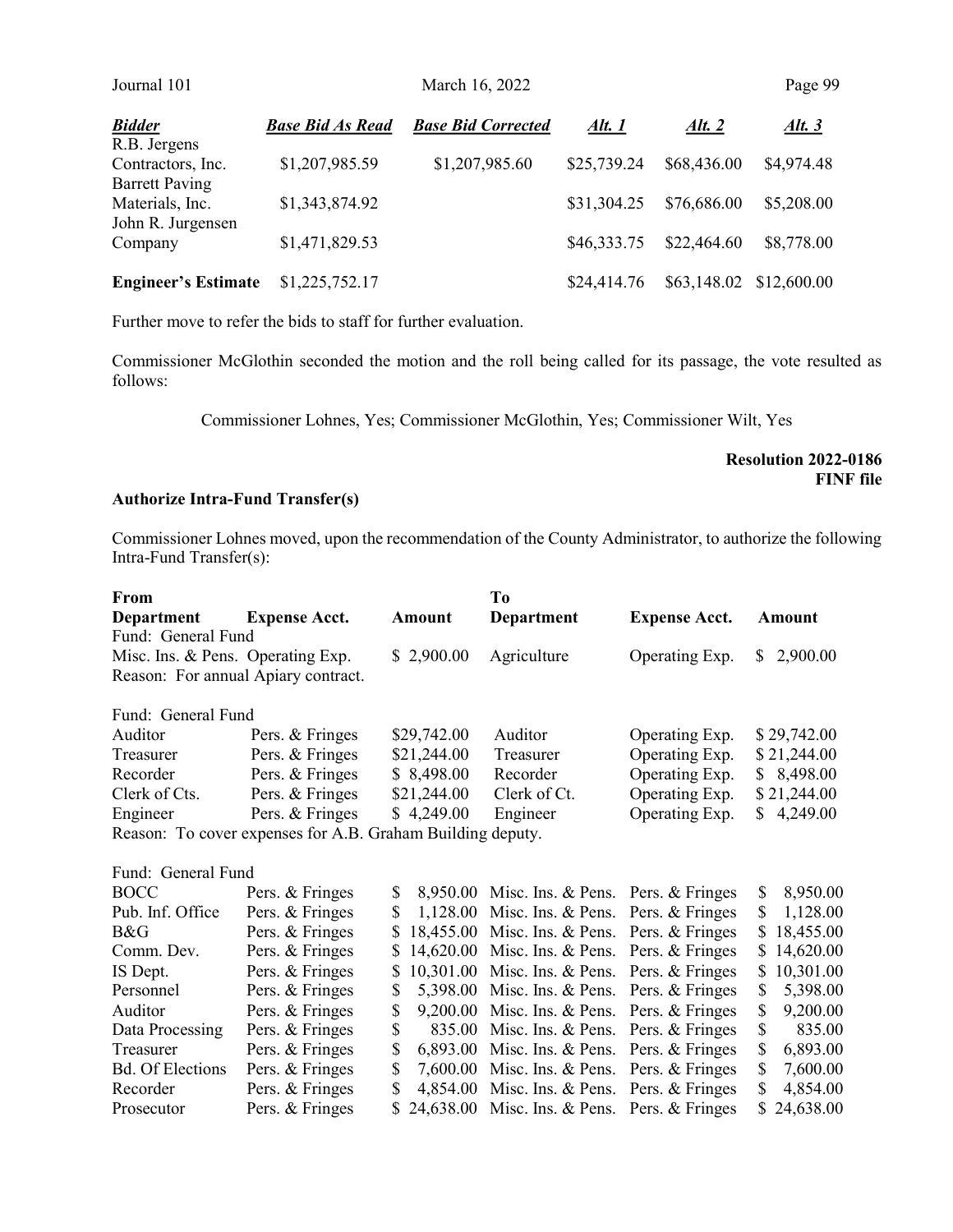| Journal 101                       |                         | March 16, 2022            |             |             | Page 99                 |
|-----------------------------------|-------------------------|---------------------------|-------------|-------------|-------------------------|
| <b>Bidder</b>                     | <b>Base Bid As Read</b> | <b>Base Bid Corrected</b> | Alt. 1      | Alt. $2$    | <u>Alt. 3</u>           |
| R.B. Jergens<br>Contractors, Inc. | \$1,207,985.59          | \$1,207,985.60            | \$25,739.24 | \$68,436.00 | \$4,974.48              |
| <b>Barrett Paving</b>             |                         |                           |             |             |                         |
| Materials, Inc.                   | \$1,343,874.92          |                           | \$31,304.25 | \$76,686.00 | \$5,208.00              |
| John R. Jurgensen                 |                         |                           |             |             |                         |
| Company                           | \$1,471,829.53          |                           | \$46,333.75 | \$22,464.60 | \$8,778.00              |
| <b>Engineer's Estimate</b>        | \$1,225,752.17          |                           | \$24,414.76 |             | \$63,148.02 \$12,600.00 |

Further move to refer the bids to staff for further evaluation.

Commissioner McGlothin seconded the motion and the roll being called for its passage, the vote resulted as follows:

Commissioner Lohnes, Yes; Commissioner McGlothin, Yes; Commissioner Wilt, Yes

Resolution 2022-0186 FINF file

### Authorize Intra-Fund Transfer(s)

Commissioner Lohnes moved, upon the recommendation of the County Administrator, to authorize the following Intra-Fund Transfer(s):

| From                              |                                                            |             | To                                            |                      |                 |
|-----------------------------------|------------------------------------------------------------|-------------|-----------------------------------------------|----------------------|-----------------|
| Department                        | <b>Expense Acct.</b>                                       | Amount      | <b>Department</b>                             | <b>Expense Acct.</b> | Amount          |
| Fund: General Fund                |                                                            |             |                                               |                      |                 |
| Misc. Ins. & Pens. Operating Exp. |                                                            | \$2,900.00  | Agriculture                                   | Operating Exp.       | 2,900.00<br>S.  |
|                                   | Reason: For annual Apiary contract.                        |             |                                               |                      |                 |
| Fund: General Fund                |                                                            |             |                                               |                      |                 |
| Auditor                           | Pers. & Fringes                                            | \$29,742.00 | Auditor                                       | Operating Exp.       | \$29,742.00     |
| Treasurer                         | Pers. & Fringes                                            | \$21,244.00 | Treasurer                                     | Operating Exp.       | \$21,244.00     |
| Recorder                          | Pers. & Fringes                                            | \$8,498.00  | Recorder                                      | Operating Exp.       | \$8,498.00      |
| Clerk of Cts.                     | Pers. & Fringes                                            | \$21,244.00 | Clerk of Ct.                                  | Operating Exp.       | \$21,244.00     |
| Engineer                          | Pers. & Fringes                                            | \$4,249.00  | Engineer                                      | Operating Exp.       | \$4,249.00      |
|                                   | Reason: To cover expenses for A.B. Graham Building deputy. |             |                                               |                      |                 |
| Fund: General Fund                |                                                            |             |                                               |                      |                 |
| <b>BOCC</b>                       | Pers. & Fringes                                            | \$          | 8,950.00 Misc. Ins. & Pens. Pers. & Fringes   |                      | \$<br>8,950.00  |
| Pub. Inf. Office                  | Pers. & Fringes                                            | \$          | 1,128.00 Misc. Ins. & Pens. Pers. & Fringes   |                      | \$<br>1,128.00  |
| B&G                               | Pers. & Fringes                                            | \$          | 18,455.00 Misc. Ins. & Pens. Pers. & Fringes  |                      | 18,455.00<br>\$ |
| Comm. Dev.                        | Pers. & Fringes                                            | S           | 14,620.00 Misc. Ins. & Pens. Pers. & Fringes  |                      | 14,620.00<br>\$ |
| IS Dept.                          | Pers. & Fringes                                            | S           | 10,301.00 Misc. Ins. & Pens. Pers. & Fringes  |                      | 10,301.00<br>\$ |
| Personnel                         | Pers. & Fringes                                            | \$          | 5,398.00 Misc. Ins. & Pens. Pers. & Fringes   |                      | 5,398.00<br>\$  |
| Auditor                           | Pers. & Fringes                                            | \$          | 9,200.00 Misc. Ins. & Pens. Pers. & Fringes   |                      | \$<br>9,200.00  |
| Data Processing                   | Pers. & Fringes                                            | \$          | 835.00 Misc. Ins. & Pens. Pers. & Fringes     |                      | \$<br>835.00    |
| Treasurer                         | Pers. & Fringes                                            | \$          | $6,893.00$ Misc. Ins. & Pens. Pers. & Fringes |                      | \$<br>6,893.00  |
| <b>Bd.</b> Of Elections           | Pers. & Fringes                                            | \$          | 7,600.00 Misc. Ins. & Pens. Pers. & Fringes   |                      | \$<br>7,600.00  |
| Recorder                          | Pers. & Fringes                                            | \$          | 4,854.00 Misc. Ins. & Pens. Pers. & Fringes   |                      | \$<br>4,854.00  |
| Prosecutor                        | Pers. & Fringes                                            |             | 24,638.00 Misc. Ins. & Pens. Pers. & Fringes  |                      | \$<br>24,638.00 |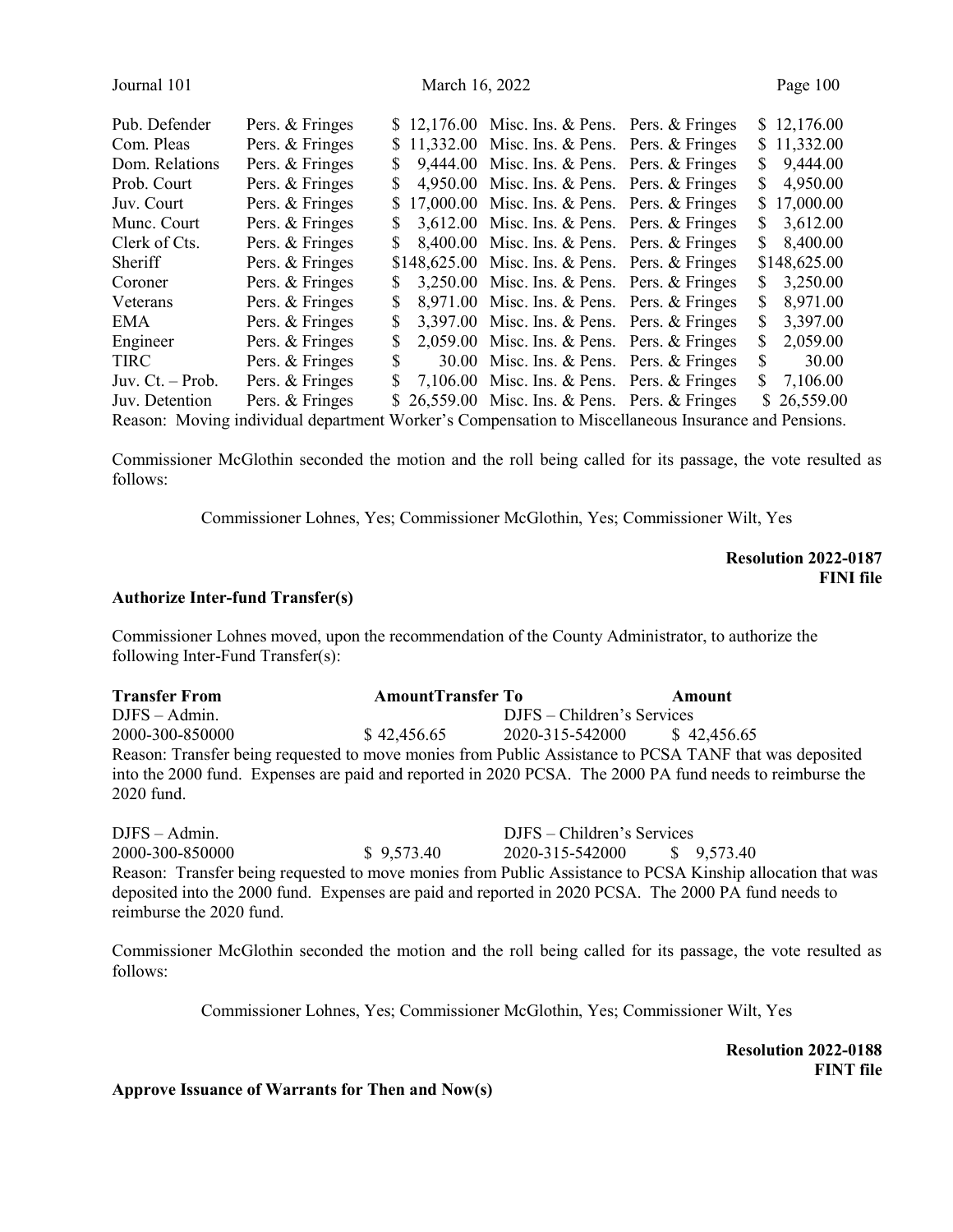| March 16, 2022<br>Journal 101                                                              | Page 100     |
|--------------------------------------------------------------------------------------------|--------------|
| Pub. Defender<br>Pers. & Fringes<br>$$12,176.00$ Misc. Ins. & Pens. Pers. & Fringes        | \$12,176.00  |
| Pers. & Fringes<br>Com. Pleas<br>$$11,332.00$ Misc. Ins. & Pens. Pers. & Fringes           | \$11,332.00  |
| Pers. & Fringes<br>Dom. Relations<br>9,444.00 Misc. Ins. & Pens. Pers. & Fringes<br>S.     | 9,444.00     |
| Pers. & Fringes<br>Prob. Court<br>4,950.00 Misc. Ins. & Pens. Pers. & Fringes<br>S.        | 4,950.00     |
| Pers. & Fringes<br>Juv. Court<br>17,000.00 Misc. Ins. & Pens. Pers. & Fringes<br>S         | \$17,000.00  |
| Pers. & Fringes<br>3,612.00 Misc. Ins. & Pens. Pers. & Fringes<br>Munc. Court<br>S.        | \$3,612.00   |
| Pers. & Fringes<br>Clerk of Cts.<br>$8,400.00$ Misc. Ins. & Pens. Pers. & Fringes<br>S.    | 8,400.00     |
| Pers. & Fringes<br>Sheriff<br>$$148,625.00$ Misc. Ins. & Pens. Pers. & Fringes             | \$148,625.00 |
| Pers. & Fringes<br>3,250.00 Misc. Ins. & Pens. Pers. & Fringes<br>Coroner<br>S.            | 3,250.00     |
| Pers. & Fringes<br>8,971.00 Misc. Ins. & Pens. Pers. & Fringes<br>Veterans<br>S<br>S.      | 8,971.00     |
| Pers. & Fringes<br>$3,397.00$ Misc. Ins. & Pens. Pers. & Fringes<br>EMA<br>S               | 3,397.00     |
| Pers. & Fringes<br>Engineer<br>2,059.00 Misc. Ins. & Pens. Pers. & Fringes<br>\$<br>S.     | 2,059.00     |
| Pers. & Fringes<br>30.00 Misc. Ins. & Pens. Pers. & Fringes<br>S.<br>TIRC                  | 30.00        |
| Pers. & Fringes<br>Juv. $Ct. - Prob.$<br>7,106.00 Misc. Ins. & Pens. Pers. & Fringes<br>S. | 7,106.00     |
| Pers. & Fringes<br>Juv. Detention<br>$$26,559.00$ Misc. Ins. & Pens. Pers. & Fringes       | \$26,559.00  |

Reason: Moving individual department Worker's Compensation to Miscellaneous Insurance and Pensions.

Commissioner McGlothin seconded the motion and the roll being called for its passage, the vote resulted as follows:

Commissioner Lohnes, Yes; Commissioner McGlothin, Yes; Commissioner Wilt, Yes

Resolution 2022-0187 FINI file

### Authorize Inter-fund Transfer(s)

Commissioner Lohnes moved, upon the recommendation of the County Administrator, to authorize the following Inter-Fund Transfer(s):

| <b>Transfer From</b>                                                                                     | <b>AmountTransfer To</b> |                              | Amount |
|----------------------------------------------------------------------------------------------------------|--------------------------|------------------------------|--------|
| $DJFS - Admin.$                                                                                          |                          | DJFS – Children's Services   |        |
| 2000-300-850000                                                                                          | \$42,456.65              | 2020-315-542000 \$ 42,456.65 |        |
| Reason: Transfer being requested to move monies from Public Assistance to PCSA TANF that was deposited   |                          |                              |        |
| into the 2000 fund. Expenses are paid and reported in 2020 PCSA. The 2000 PA fund needs to reimburse the |                          |                              |        |
| 2020 fund.                                                                                               |                          |                              |        |

DJFS – Admin. DJFS – Children's Services 2000-300-850000 \$ 9,573.40 2020-315-542000 \$ 9,573.40 Reason: Transfer being requested to move monies from Public Assistance to PCSA Kinship allocation that was deposited into the 2000 fund. Expenses are paid and reported in 2020 PCSA. The 2000 PA fund needs to reimburse the 2020 fund.

Commissioner McGlothin seconded the motion and the roll being called for its passage, the vote resulted as follows:

Commissioner Lohnes, Yes; Commissioner McGlothin, Yes; Commissioner Wilt, Yes

 Resolution 2022-0188 FINT file

Approve Issuance of Warrants for Then and Now(s)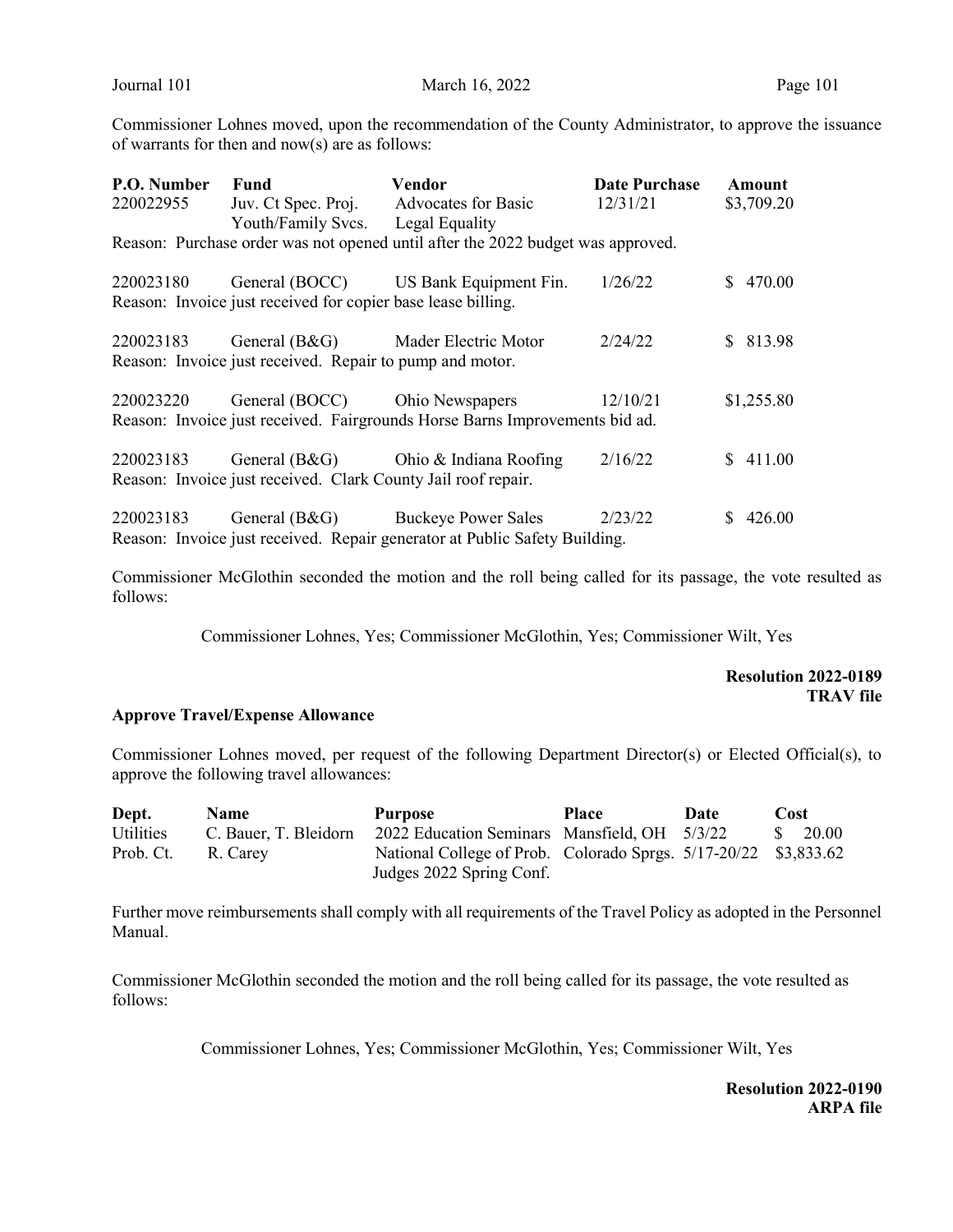Commissioner Lohnes moved, upon the recommendation of the County Administrator, to approve the issuance of warrants for then and now(s) are as follows:

| P.O. Number                                                                     | Fund                                                          | Vendor                                                                     | <b>Date Purchase</b> | Amount        |  |  |  |  |
|---------------------------------------------------------------------------------|---------------------------------------------------------------|----------------------------------------------------------------------------|----------------------|---------------|--|--|--|--|
| 220022955                                                                       | Juv. Ct Spec. Proj.                                           | <b>Advocates for Basic</b>                                                 | 12/31/21             | \$3,709.20    |  |  |  |  |
|                                                                                 | Youth/Family Svcs.                                            | Legal Equality                                                             |                      |               |  |  |  |  |
| Reason: Purchase order was not opened until after the 2022 budget was approved. |                                                               |                                                                            |                      |               |  |  |  |  |
| 220023180                                                                       |                                                               | General (BOCC) US Bank Equipment Fin.                                      | 1/26/22              | 470.00<br>S.  |  |  |  |  |
| Reason: Invoice just received for copier base lease billing.                    |                                                               |                                                                            |                      |               |  |  |  |  |
| 220023183                                                                       | General (B&G)                                                 | Mader Electric Motor                                                       | 2/24/22              | \$ 813.98     |  |  |  |  |
|                                                                                 | Reason: Invoice just received. Repair to pump and motor.      |                                                                            |                      |               |  |  |  |  |
| 220023220                                                                       | General (BOCC)                                                | Ohio Newspapers                                                            | 12/10/21             | \$1,255.80    |  |  |  |  |
| Reason: Invoice just received. Fairgrounds Horse Barns Improvements bid ad.     |                                                               |                                                                            |                      |               |  |  |  |  |
| 220023183                                                                       |                                                               | General (B&G) Ohio & Indiana Roofing                                       | 2/16/22              | 411.00<br>SS. |  |  |  |  |
|                                                                                 | Reason: Invoice just received. Clark County Jail roof repair. |                                                                            |                      |               |  |  |  |  |
| 220023183                                                                       | General $(B&G)$                                               | <b>Buckeye Power Sales</b>                                                 | 2/23/22              | 426.00        |  |  |  |  |
|                                                                                 |                                                               | Reason: Invoice just received. Repair generator at Public Safety Building. |                      |               |  |  |  |  |

Commissioner McGlothin seconded the motion and the roll being called for its passage, the vote resulted as follows:

Commissioner Lohnes, Yes; Commissioner McGlothin, Yes; Commissioner Wilt, Yes

# Resolution 2022-0189 TRAV file

### Approve Travel/Expense Allowance

Commissioner Lohnes moved, per request of the following Department Director(s) or Elected Official(s), to approve the following travel allowances:

| Dept.            | <b>Name</b>           | <b>Purpose</b>                                                  | <b>Place</b> | Date | Cost               |
|------------------|-----------------------|-----------------------------------------------------------------|--------------|------|--------------------|
| <b>Utilities</b> | C. Bauer, T. Bleidorn | 2022 Education Seminars Mansfield, OH 5/3/22                    |              |      | $\frac{\$}{20.00}$ |
| Prob. Ct.        | R. Carev              | National College of Prob. Colorado Sprgs. 5/17-20/22 \$3,833.62 |              |      |                    |
|                  |                       | Judges 2022 Spring Conf.                                        |              |      |                    |

Further move reimbursements shall comply with all requirements of the Travel Policy as adopted in the Personnel Manual.

Commissioner McGlothin seconded the motion and the roll being called for its passage, the vote resulted as follows:

Commissioner Lohnes, Yes; Commissioner McGlothin, Yes; Commissioner Wilt, Yes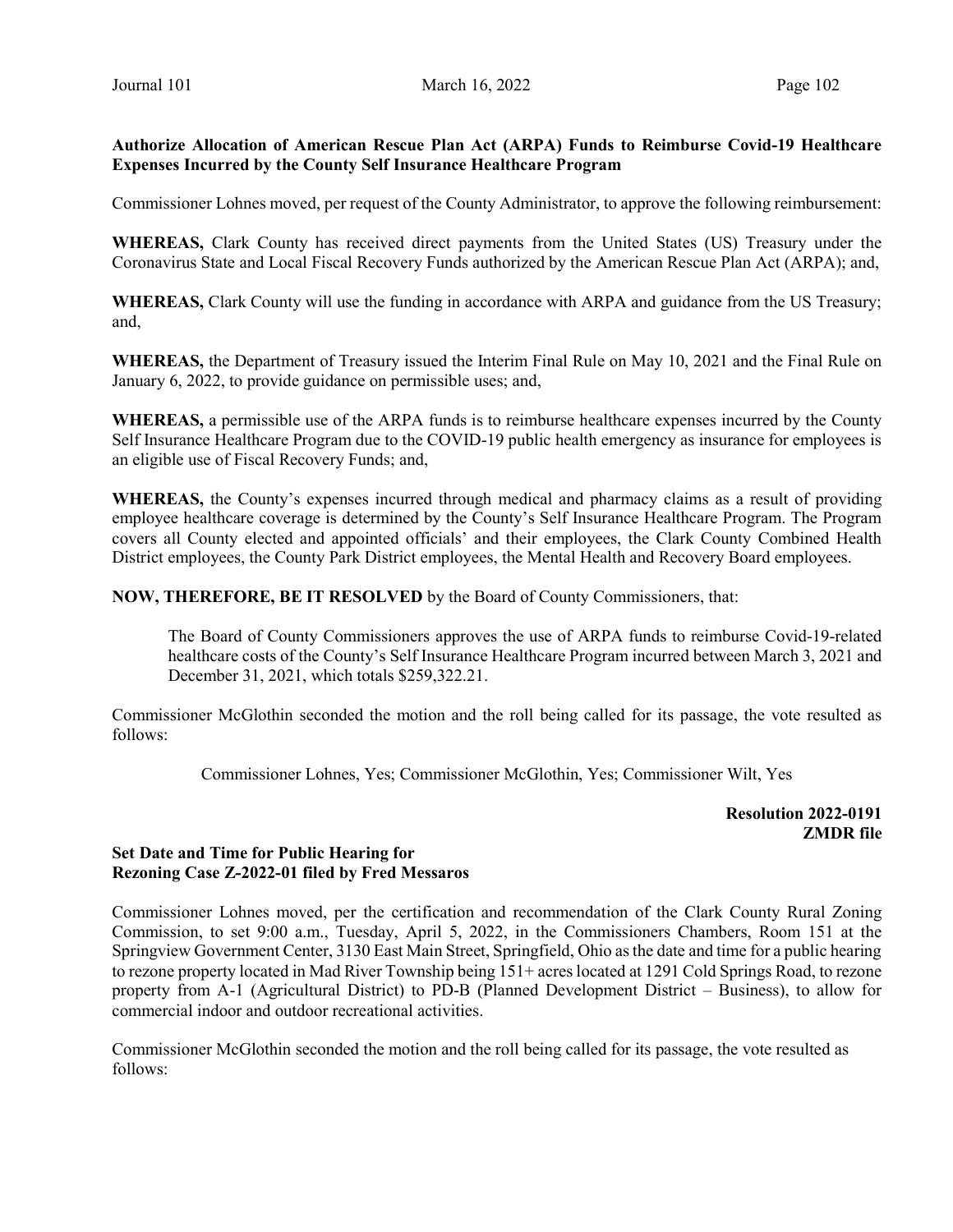# Authorize Allocation of American Rescue Plan Act (ARPA) Funds to Reimburse Covid-19 Healthcare Expenses Incurred by the County Self Insurance Healthcare Program

Commissioner Lohnes moved, per request of the County Administrator, to approve the following reimbursement:

WHEREAS, Clark County has received direct payments from the United States (US) Treasury under the Coronavirus State and Local Fiscal Recovery Funds authorized by the American Rescue Plan Act (ARPA); and,

WHEREAS, Clark County will use the funding in accordance with ARPA and guidance from the US Treasury; and,

WHEREAS, the Department of Treasury issued the Interim Final Rule on May 10, 2021 and the Final Rule on January 6, 2022, to provide guidance on permissible uses; and,

WHEREAS, a permissible use of the ARPA funds is to reimburse healthcare expenses incurred by the County Self Insurance Healthcare Program due to the COVID-19 public health emergency as insurance for employees is an eligible use of Fiscal Recovery Funds; and,

WHEREAS, the County's expenses incurred through medical and pharmacy claims as a result of providing employee healthcare coverage is determined by the County's Self Insurance Healthcare Program. The Program covers all County elected and appointed officials' and their employees, the Clark County Combined Health District employees, the County Park District employees, the Mental Health and Recovery Board employees.

NOW, THEREFORE, BE IT RESOLVED by the Board of County Commissioners, that:

The Board of County Commissioners approves the use of ARPA funds to reimburse Covid-19-related healthcare costs of the County's Self Insurance Healthcare Program incurred between March 3, 2021 and December 31, 2021, which totals \$259,322.21.

Commissioner McGlothin seconded the motion and the roll being called for its passage, the vote resulted as follows:

Commissioner Lohnes, Yes; Commissioner McGlothin, Yes; Commissioner Wilt, Yes

Resolution 2022-0191 ZMDR file

# Set Date and Time for Public Hearing for Rezoning Case Z-2022-01 filed by Fred Messaros

Commissioner Lohnes moved, per the certification and recommendation of the Clark County Rural Zoning Commission, to set 9:00 a.m., Tuesday, April 5, 2022, in the Commissioners Chambers, Room 151 at the Springview Government Center, 3130 East Main Street, Springfield, Ohio as the date and time for a public hearing to rezone property located in Mad River Township being 151+ acres located at 1291 Cold Springs Road, to rezone property from A-1 (Agricultural District) to PD-B (Planned Development District – Business), to allow for commercial indoor and outdoor recreational activities.

Commissioner McGlothin seconded the motion and the roll being called for its passage, the vote resulted as follows: